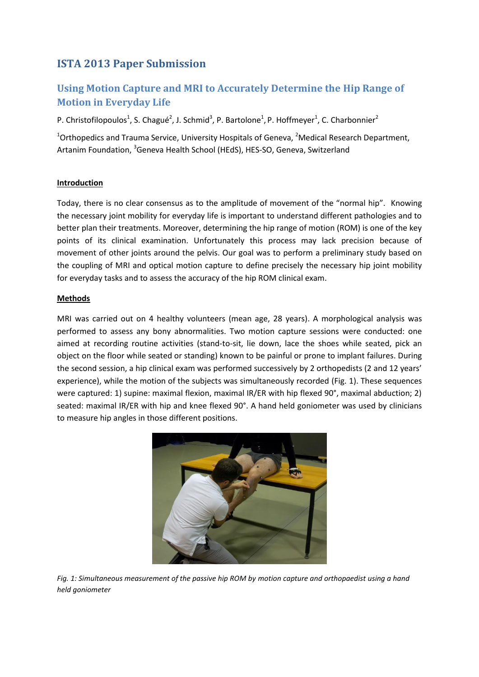## **ISTA 2013 Paper Submission**

# **Using Motion Capture and MRI to Accurately Determine the Hip Range of Motion in Everyday Life**

P. Christofilopoulos<sup>1</sup>, S. Chagué<sup>2</sup>, J. Schmid<sup>3</sup>, P. Bartolone<sup>1</sup>, P. Hoffmeyer<sup>1</sup>, C. Charbonnier<sup>2</sup>

 $1$ Orthopedics and Trauma Service, University Hospitals of Geneva, <sup>2</sup>Medical Research Department, Artanim Foundation, <sup>3</sup>Geneva Health School (HEdS), HES-SO, Geneva, Switzerland

## **Introduction**

Today, there is no clear consensus as to the amplitude of movement of the "normal hip". Knowing the necessary joint mobility for everyday life is important to understand different pathologies and to better plan their treatments. Moreover, determining the hip range of motion (ROM) is one of the key points of its clinical examination. Unfortunately this process may lack precision because of movement of other joints around the pelvis. Our goal was to perform a preliminary study based on the coupling of MRI and optical motion capture to define precisely the necessary hip joint mobility for everyday tasks and to assess the accuracy of the hip ROM clinical exam.

#### **Methods**

MRI was carried out on 4 healthy volunteers (mean age, 28 years). A morphological analysis was performed to assess any bony abnormalities. Two motion capture sessions were conducted: one aimed at recording routine activities (stand-to-sit, lie down, lace the shoes while seated, pick an object on the floor while seated or standing) known to be painful or prone to implant failures. During the second session, a hip clinical exam was performed successively by 2 orthopedists (2 and 12 years' experience), while the motion of the subjects was simultaneously recorded (Fig. 1). These sequences were captured: 1) supine: maximal flexion, maximal IR/ER with hip flexed 90°, maximal abduction; 2) seated: maximal IR/ER with hip and knee flexed 90°. A hand held goniometer was used by clinicians to measure hip angles in those different positions.



*Fig. 1: Simultaneous measurement of the passive hip ROM by motion capture and orthopaedist using a hand held goniometer*